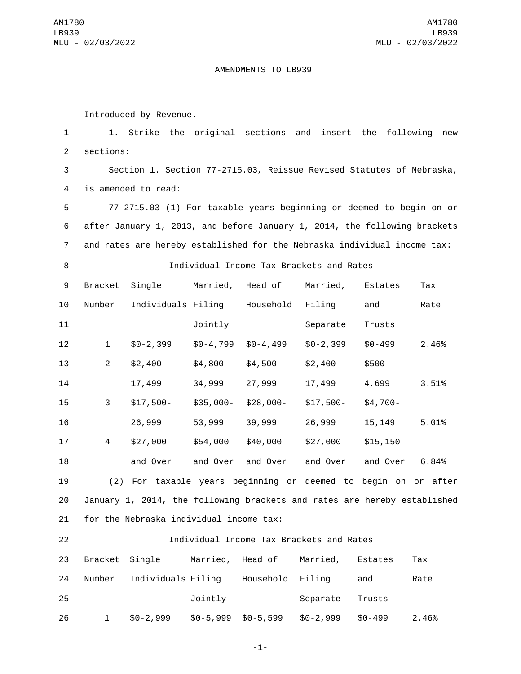## AMENDMENTS TO LB939

Introduced by Revenue.

 1. Strike the original sections and insert the following new 2 sections: Section 1. Section 77-2715.03, Reissue Revised Statutes of Nebraska, 4 is amended to read: 77-2715.03 (1) For taxable years beginning or deemed to begin on or after January 1, 2013, and before January 1, 2014, the following brackets and rates are hereby established for the Nebraska individual income tax: Individual Income Tax Brackets and Rates 9 Bracket Single Married, Head of Married, Estates Tax 10 Number Individuals Filing Household Filing and Rate 11 Jointly Separate Trusts \$0-2,399 \$0-4,799 \$0-4,499 \$0-2,399 \$0-499 2.46% \$2,400- \$4,800- \$4,500- \$2,400- \$500- 17,499 34,999 27,999 17,499 4,699 3.51% \$17,500- \$35,000- \$28,000- \$17,500- \$4,700- 26,999 53,999 39,999 26,999 15,149 5.01% \$27,000 \$54,000 \$40,000 \$27,000 \$15,150 and Over and Over and Over and Over and Over 6.84% (2) For taxable years beginning or deemed to begin on or after January 1, 2014, the following brackets and rates are hereby established 21 for the Nebraska individual income tax: Individual Income Tax Brackets and Rates

| 23 | Bracket Single |                    | Married, Head of |                  | Married,   | Estates | Tax   |
|----|----------------|--------------------|------------------|------------------|------------|---------|-------|
| 24 | Number         | Individuals Filing |                  | Household Filing |            | and     | Rate  |
| 25 |                |                    | Jointly          |                  | Separate   | Trusts  |       |
| 26 | $\mathbf{1}$   | $$0-2,999$         | $$0-5,999$       | \$0-5,599        | $$0-2,999$ | \$0-499 | 2.46% |

-1-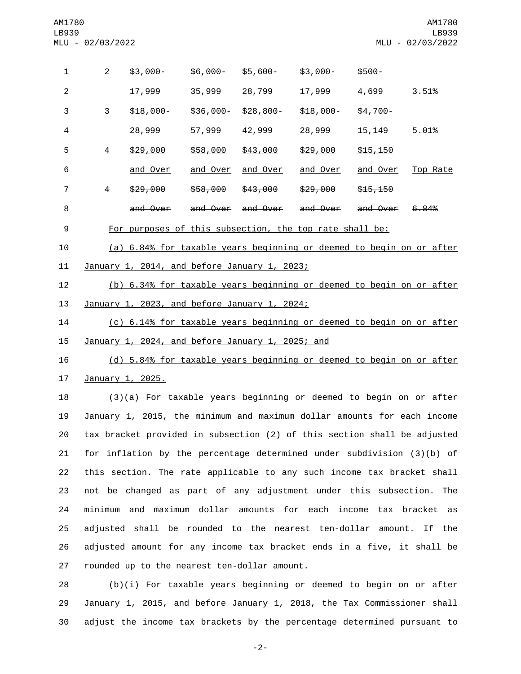| 1 | $\overline{2}$ | $$3,000-$                                               | $$6,000-$ | $$5,600-$  | $$3,000-$  | $$500-$   |          |
|---|----------------|---------------------------------------------------------|-----------|------------|------------|-----------|----------|
| 2 |                | 17,999                                                  | 35,999    | 28,799     | 17,999     | 4,699     | 3.51%    |
| 3 | 3              | $$18,000-$                                              | \$36,000- | $$28,800-$ | $$18,000-$ | $$4,700-$ |          |
| 4 |                | 28,999                                                  | 57,999    | 42,999     | 28,999     | 15, 149   | 5.01%    |
| 5 | $\overline{4}$ | \$29,000                                                | \$58,000  | \$43,000   | \$29,000   | \$15,150  |          |
| 6 |                | and Over                                                | and Over  | and Over   | and Over   | and Over  | Top Rate |
| 7 | 4              | \$29,000                                                | \$58,000  | \$43,000   | \$29,000   | \$15,150  |          |
| 8 |                | and Over                                                | and Over  | and Over   | and Over   | and Over  | 6.84%    |
| 9 |                | For purposes of this subsection, the top rate shall be: |           |            |            |           |          |

 (a) 6.84% for taxable years beginning or deemed to begin on or after 11 January 1, 2014, and before January 1, 2023;

 (b) 6.34% for taxable years beginning or deemed to begin on or after 13 January 1, 2023, and before January 1, 2024;

 (c) 6.14% for taxable years beginning or deemed to begin on or after 15 January 1, 2024, and before January 1, 2025; and

 (d) 5.84% for taxable years beginning or deemed to begin on or after 17 January 1, 2025.

 (3)(a) For taxable years beginning or deemed to begin on or after January 1, 2015, the minimum and maximum dollar amounts for each income tax bracket provided in subsection (2) of this section shall be adjusted for inflation by the percentage determined under subdivision (3)(b) of this section. The rate applicable to any such income tax bracket shall not be changed as part of any adjustment under this subsection. The minimum and maximum dollar amounts for each income tax bracket as adjusted shall be rounded to the nearest ten-dollar amount. If the adjusted amount for any income tax bracket ends in a five, it shall be 27 rounded up to the nearest ten-dollar amount.

 (b)(i) For taxable years beginning or deemed to begin on or after January 1, 2015, and before January 1, 2018, the Tax Commissioner shall adjust the income tax brackets by the percentage determined pursuant to

-2-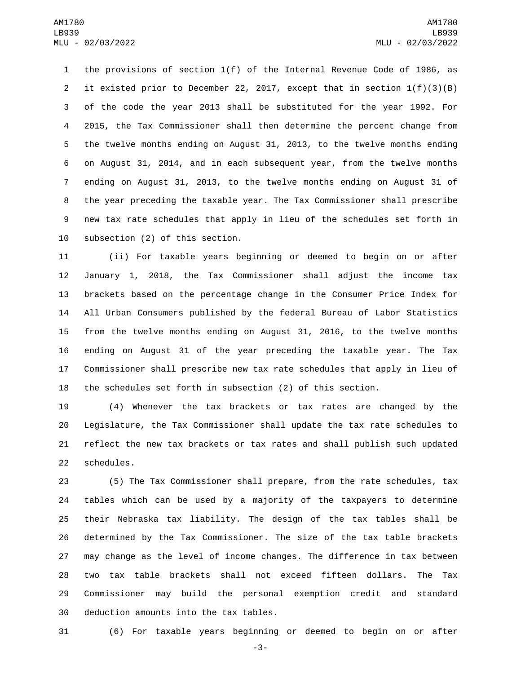the provisions of section 1(f) of the Internal Revenue Code of 1986, as it existed prior to December 22, 2017, except that in section 1(f)(3)(B) of the code the year 2013 shall be substituted for the year 1992. For 2015, the Tax Commissioner shall then determine the percent change from the twelve months ending on August 31, 2013, to the twelve months ending on August 31, 2014, and in each subsequent year, from the twelve months ending on August 31, 2013, to the twelve months ending on August 31 of the year preceding the taxable year. The Tax Commissioner shall prescribe new tax rate schedules that apply in lieu of the schedules set forth in 10 subsection (2) of this section.

 (ii) For taxable years beginning or deemed to begin on or after January 1, 2018, the Tax Commissioner shall adjust the income tax brackets based on the percentage change in the Consumer Price Index for All Urban Consumers published by the federal Bureau of Labor Statistics from the twelve months ending on August 31, 2016, to the twelve months ending on August 31 of the year preceding the taxable year. The Tax Commissioner shall prescribe new tax rate schedules that apply in lieu of the schedules set forth in subsection (2) of this section.

 (4) Whenever the tax brackets or tax rates are changed by the Legislature, the Tax Commissioner shall update the tax rate schedules to reflect the new tax brackets or tax rates and shall publish such updated 22 schedules.

 (5) The Tax Commissioner shall prepare, from the rate schedules, tax tables which can be used by a majority of the taxpayers to determine their Nebraska tax liability. The design of the tax tables shall be determined by the Tax Commissioner. The size of the tax table brackets may change as the level of income changes. The difference in tax between two tax table brackets shall not exceed fifteen dollars. The Tax Commissioner may build the personal exemption credit and standard 30 deduction amounts into the tax tables.

(6) For taxable years beginning or deemed to begin on or after

-3-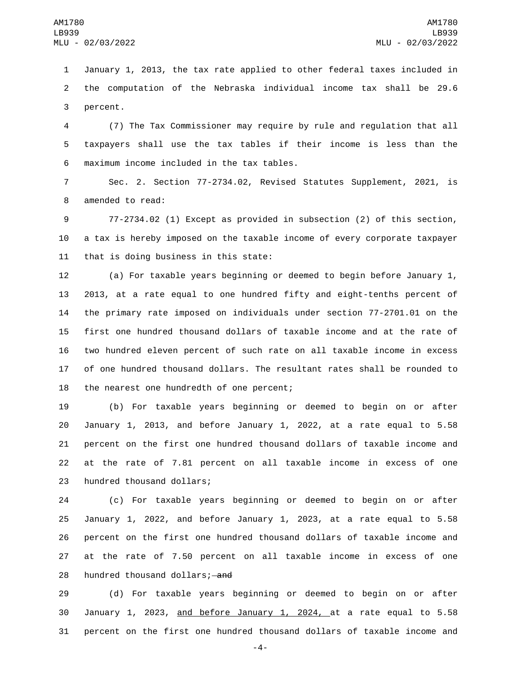January 1, 2013, the tax rate applied to other federal taxes included in the computation of the Nebraska individual income tax shall be 29.6 3 percent.

 (7) The Tax Commissioner may require by rule and regulation that all taxpayers shall use the tax tables if their income is less than the maximum income included in the tax tables.6

 Sec. 2. Section 77-2734.02, Revised Statutes Supplement, 2021, is 8 amended to read:

 77-2734.02 (1) Except as provided in subsection (2) of this section, a tax is hereby imposed on the taxable income of every corporate taxpayer 11 that is doing business in this state:

 (a) For taxable years beginning or deemed to begin before January 1, 2013, at a rate equal to one hundred fifty and eight-tenths percent of the primary rate imposed on individuals under section 77-2701.01 on the first one hundred thousand dollars of taxable income and at the rate of two hundred eleven percent of such rate on all taxable income in excess of one hundred thousand dollars. The resultant rates shall be rounded to 18 the nearest one hundredth of one percent;

 (b) For taxable years beginning or deemed to begin on or after January 1, 2013, and before January 1, 2022, at a rate equal to 5.58 percent on the first one hundred thousand dollars of taxable income and at the rate of 7.81 percent on all taxable income in excess of one 23 hundred thousand dollars;

 (c) For taxable years beginning or deemed to begin on or after January 1, 2022, and before January 1, 2023, at a rate equal to 5.58 percent on the first one hundred thousand dollars of taxable income and at the rate of 7.50 percent on all taxable income in excess of one 28 hundred thousand dollars; and

 (d) For taxable years beginning or deemed to begin on or after January 1, 2023, and before January 1, 2024, at a rate equal to 5.58 percent on the first one hundred thousand dollars of taxable income and

-4-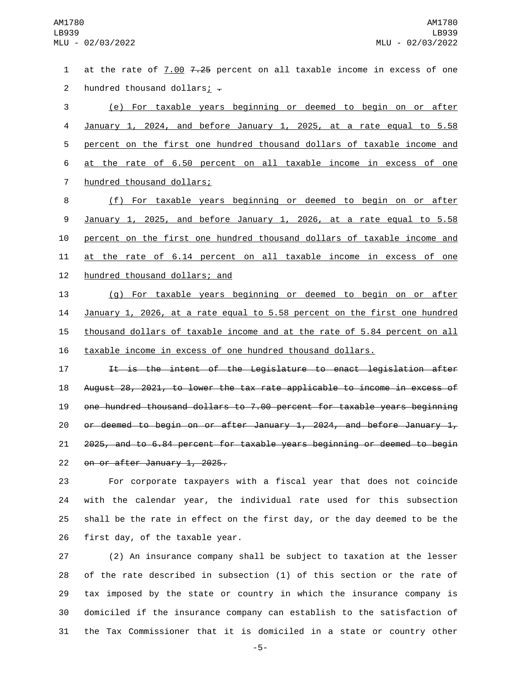at the rate of 7.00 7.25 percent on all taxable income in excess of one 2 hundred thousand dollars $\frac{1}{2}$  -

 (e) For taxable years beginning or deemed to begin on or after January 1, 2024, and before January 1, 2025, at a rate equal to 5.58 percent on the first one hundred thousand dollars of taxable income and at the rate of 6.50 percent on all taxable income in excess of one 7 hundred thousand dollars;

 (f) For taxable years beginning or deemed to begin on or after January 1, 2025, and before January 1, 2026, at a rate equal to 5.58 percent on the first one hundred thousand dollars of taxable income and at the rate of 6.14 percent on all taxable income in excess of one 12 hundred thousand dollars; and

 (g) For taxable years beginning or deemed to begin on or after January 1, 2026, at a rate equal to 5.58 percent on the first one hundred 15 thousand dollars of taxable income and at the rate of 5.84 percent on all taxable income in excess of one hundred thousand dollars.

17 11 It is the intent of the Legislature to enact legislation after August 28, 2021, to lower the tax rate applicable to income in excess of one hundred thousand dollars to 7.00 percent for taxable years beginning 20 or deemed to begin on or after January 1, 2024, and before January  $1<sub>r</sub>$  2025, and to 6.84 percent for taxable years beginning or deemed to begin 22 on or after January 1, 2025.

 For corporate taxpayers with a fiscal year that does not coincide with the calendar year, the individual rate used for this subsection shall be the rate in effect on the first day, or the day deemed to be the first day, of the taxable year.

 (2) An insurance company shall be subject to taxation at the lesser of the rate described in subsection (1) of this section or the rate of tax imposed by the state or country in which the insurance company is domiciled if the insurance company can establish to the satisfaction of the Tax Commissioner that it is domiciled in a state or country other

-5-